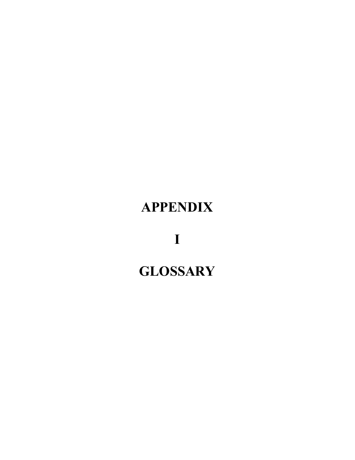## **APPENDIX**

**I**

## **GLOSSARY**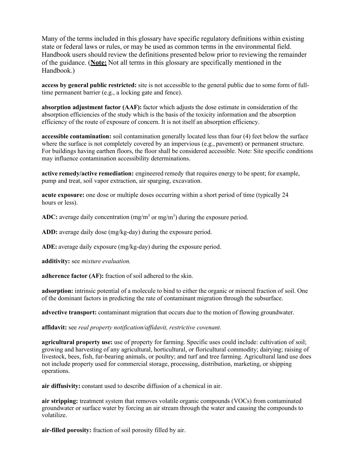Many of the terms included in this glossary have specific regulatory definitions within existing state or federal laws or rules, or may be used as common terms in the environmental field. Handbook users should review the definitions presented below prior to reviewing the remainder of the guidance. (**Note:** Not all terms in this glossary are specifically mentioned in the Handbook.)

**access by general public restricted:** site is not accessible to the general public due to some form of fulltime permanent barrier (e.g., a locking gate and fence).

**absorption adjustment factor (AAF):** factor which adjusts the dose estimate in consideration of the absorption efficiencies of the study which is the basis of the toxicity information and the absorption efficiency of the route of exposure of concern. It is not itself an absorption efficiency.

**accessible contamination:** soil contamination generally located less than four (4) feet below the surface where the surface is not completely covered by an impervious (e.g., pavement) or permanent structure. For buildings having earthen floors, the floor shall be considered accessible. Note: Site specific conditions may influence contamination accessibility determinations.

**active remedy/active remediation:** engineered remedy that requires energy to be spent; for example, pump and treat, soil vapor extraction, air sparging, excavation.

**acute exposure:** one dose or multiple doses occurring within a short period of time (typically 24 hours or less).

ADC: average daily concentration (mg/m<sup>3</sup> or mg/m<sup>3</sup>) during the exposure period.

**ADD:** average daily dose (mg/kg-day) during the exposure period.

**ADE:** average daily exposure (mg/kg-day) during the exposure period.

**additivity:** see *mixture evaluation.*

**adherence factor (AF):** fraction of soil adhered to the skin.

**adsorption:** intrinsic potential of a molecule to bind to either the organic or mineral fraction of soil. One of the dominant factors in predicting the rate of contaminant migration through the subsurface.

**advective transport:** contaminant migration that occurs due to the motion of flowing groundwater.

**affidavit:** see *real property notification/affidavit, restrictive covenant*.

**agricultural property use:** use of property for farming. Specific uses could include: cultivation of soil; growing and harvesting of any agricultural, horticultural, or floricultural commodity; dairying; raising of livestock, bees, fish, fur-bearing animals, or poultry; and turf and tree farming. Agricultural land use does not include property used for commercial storage, processing, distribution, marketing, or shipping operations.

**air diffusivity:** constant used to describe diffusion of a chemical in air.

**air stripping:** treatment system that removes volatile organic compounds (VOCs) from contaminated groundwater or surface water by forcing an air stream through the water and causing the compounds to volatilize.

**air-filled porosity:** fraction of soil porosity filled by air.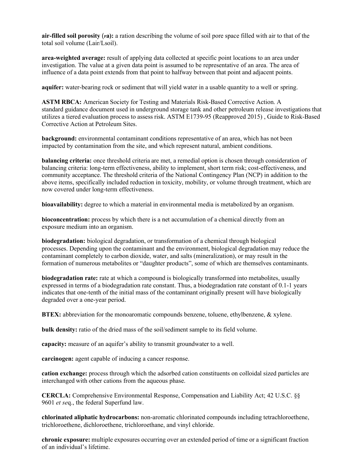**air-filled soil porosity** (**Pa):** a ration describing the volume of soil pore space filled with air to that of the total soil volume (Lair/Lsoil).

**area-weighted average:** result of applying data collected at specific point locations to an area under investigation. The value at a given data point is assumed to be representative of an area. The area of influence of a data point extends from that point to halfway between that point and adjacent points.

**aquifer:** water-bearing rock or sediment that will yield water in a usable quantity to a well or spring.

**ASTM RBCA:** American Society for Testing and Materials Risk-Based Corrective Action. A standard guidance document used in underground storage tank and other petroleum release investigations that utilizes a tiered evaluation process to assess risk. ASTM E1739-95 (Reapproved 2015) , Guide to Risk-Based Corrective Action at Petroleum Sites.

**background:** environmental contaminant conditions representative of an area, which has not been impacted by contamination from the site, and which represent natural, ambient conditions.

**balancing criteria:** once threshold criteria are met, a remedial option is chosen through consideration of balancing criteria: long-term effectiveness, ability to implement, short term risk; cost-effectiveness, and community acceptance. The threshold criteria of the National Contingency Plan (NCP) in addition to the above items, specifically included reduction in toxicity, mobility, or volume through treatment, which are now covered under long-term effectiveness.

**bioavailability:** degree to which a material in environmental media is metabolized by an organism.

**bioconcentration:** process by which there is a net accumulation of a chemical directly from an exposure medium into an organism.

**biodegradation:** biological degradation, or transformation of a chemical through biological processes. Depending upon the contaminant and the environment, biological degradation may reduce the contaminant completely to carbon dioxide, water, and salts (mineralization), or may result in the formation of numerous metabolites or "daughter products", some of which are themselves contaminants.

**biodegradation rate:** rate at which a compound is biologically transformed into metabolites, usually expressed in terms of a biodegradation rate constant. Thus, a biodegradation rate constant of 0.1-1 years indicates that one-tenth of the initial mass of the contaminant originally present will have biologically degraded over a one-year period.

**BTEX:** abbreviation for the monoaromatic compounds benzene, toluene, ethylbenzene, & xylene.

**bulk density:** ratio of the dried mass of the soil/sediment sample to its field volume.

**capacity:** measure of an aquifer's ability to transmit groundwater to a well.

**carcinogen:** agent capable of inducing a cancer response.

**cation exchange:** process through which the adsorbed cation constituents on colloidal sized particles are interchanged with other cations from the aqueous phase.

**CERCLA:** Comprehensive Environmental Response, Compensation and Liability Act; 42 U.S.C. §§ 9601 *et se*q., the federal Superfund law.

**chlorinated aliphatic hydrocarbons:** non-aromatic chlorinated compounds including tetrachloroethene, trichloroethene, dichloroethene, trichloroethane, and vinyl chloride.

**chronic exposure:** multiple exposures occurring over an extended period of time or a significant fraction of an individual's lifetime.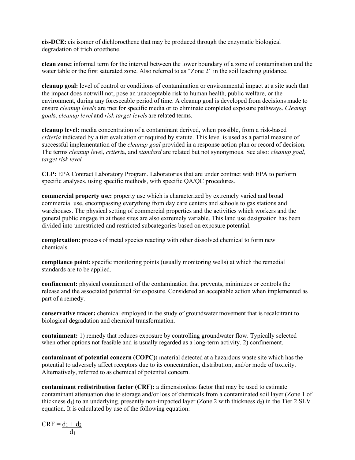**cis-DCE:** cis isomer of dichloroethene that may be produced through the enzymatic biological degradation of trichloroethene.

**clean zone:** informal term for the interval between the lower boundary of a zone of contamination and the water table or the first saturated zone. Also referred to as "Zone 2" in the soil leaching guidance.

**cleanup goal:** level of control or conditions of contamination or environmental impact at a site such that the impact does not/will not, pose an unacceptable risk to human health, public welfare, or the environment, during any foreseeable period of time. A cleanup goal is developed from decisions made to ensure *cleanup levels* are met for specific media or to eliminate completed exposure pathways. *Cleanup goal*s, *cleanup level* and *risk target levels* are related terms.

**cleanup level:** media concentration of a contaminant derived, when possible, from a risk-based *criteria* indicated by a tier evaluation or required by statute. This level is used as a partial measure of successful implementation of the *cleanup goal* provided in a response action plan or record of decision. The terms *cleanup leve*l, *criteri*a, and *standard* are related but not synonymous. See also: *cleanup goal, target risk level.*

**CLP:** EPA Contract Laboratory Program. Laboratories that are under contract with EPA to perform specific analyses, using specific methods, with specific QA/QC procedures.

**commercial property use:** property use which is characterized by extremely varied and broad commercial use, encompassing everything from day care centers and schools to gas stations and warehouses. The physical setting of commercial properties and the activities which workers and the general public engage in at these sites are also extremely variable. This land use designation has been divided into unrestricted and restricted subcategories based on exposure potential.

**complexation:** process of metal species reacting with other dissolved chemical to form new chemicals.

**compliance point:** specific monitoring points (usually monitoring wells) at which the remedial standards are to be applied.

**confinement:** physical containment of the contamination that prevents, minimizes or controls the release and the associated potential for exposure. Considered an acceptable action when implemented as part of a remedy.

**conservative tracer:** chemical employed in the study of groundwater movement that is recalcitrant to biological degradation and chemical transformation.

**containment:** 1) remedy that reduces exposure by controlling groundwater flow. Typically selected when other options not feasible and is usually regarded as a long-term activity. 2) confinement.

**contaminant of potential concern (COPC):** material detected at a hazardous waste site which has the potential to adversely affect receptors due to its concentration, distribution, and/or mode of toxicity. Alternatively, referred to as chemical of potential concern.

**contaminant redistribution factor (CRF):** a dimensionless factor that may be used to estimate contaminant attenuation due to storage and/or loss of chemicals from a contaminated soil layer (Zone 1 of thickness  $d_1$ ) to an underlying, presently non-impacted layer (Zone 2 with thickness  $d_2$ ) in the Tier 2 SLV equation. It is calculated by use of the following equation:

$$
CRF = \underline{d_1 + d_2} \over d_1
$$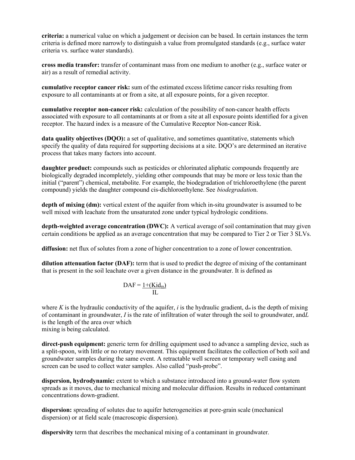**criteria:** a numerical value on which a judgement or decision can be based. In certain instances the term criteria is defined more narrowly to distinguish a value from promulgated standards (e.g., surface water criteria vs. surface water standards).

**cross media transfer:** transfer of contaminant mass from one medium to another (e.g., surface water or air) as a result of remedial activity.

**cumulative receptor cancer risk:** sum of the estimated excess lifetime cancer risks resulting from exposure to all contaminants at or from a site, at all exposure points, for a given receptor.

**cumulative receptor non-cancer risk:** calculation of the possibility of non-cancer health effects associated with exposure to all contaminants at or from a site at all exposure points identified for a given receptor. The hazard index is a measure of the Cumulative Receptor Non-cancer Risk.

**data quality objectives (DQO):** a set of qualitative, and sometimes quantitative, statements which specify the quality of data required for supporting decisions at a site. DQO's are determined an iterative process that takes many factors into account.

**daughter product:** compounds such as pesticides or chlorinated aliphatic compounds frequently are biologically degraded incompletely, yielding other compounds that may be more or less toxic than the initial ("parent") chemical, metabolite. For example, the biodegradation of trichloroethylene (the parent compound) yields the daughter compound cis-dichloroethylene. See *biodegradatio*n.

**depth of mixing (dm):** vertical extent of the aquifer from which in-situ groundwater is assumed to be well mixed with leachate from the unsaturated zone under typical hydrologic conditions.

**depth-weighted average concentration (DWC):** A vertical average of soil contamination that may given certain conditions be applied as an average concentration that may be compared to Tier 2 or Tier 3 SLVs.

**diffusion:** net flux of solutes from a zone of higher concentration to a zone of lower concentration.

**dilution attenuation factor (DAF):** term that is used to predict the degree of mixing of the contaminant that is present in the soil leachate over a given distance in the groundwater. It is defined as

$$
DAF = \frac{1 + (Kid_m)}{IL}
$$

where *K* is the hydraulic conductivity of the aquifer, *i* is the hydraulic gradient,  $d_m$  is the depth of mixing of contaminant in groundwater, *I* is the rate of infiltration of water through the soil to groundwater, and*L* is the length of the area over which mixing is being calculated.

**direct-push equipment:** generic term for drilling equipment used to advance a sampling device, such as a split-spoon, with little or no rotary movement. This equipment facilitates the collection of both soil and groundwater samples during the same event. A retractable well screen or temporary well casing and screen can be used to collect water samples. Also called "push-probe".

**dispersion, hydrodynamic:** extent to which a substance introduced into a ground-water flow system spreads as it moves, due to mechanical mixing and molecular diffusion. Results in reduced contaminant concentrations down-gradient.

**dispersion:** spreading of solutes due to aquifer heterogeneities at pore-grain scale (mechanical dispersion) or at field scale (macroscopic dispersion).

**dispersivity** term that describes the mechanical mixing of a contaminant in groundwater.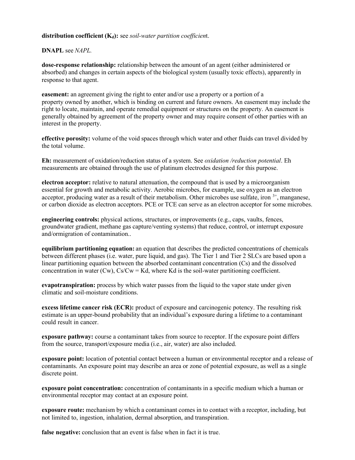## **distribution coefficient (Kd):** see *soil-water partition coefficien*t.

## **DNAPL** see *NAPL.*

**dose-response relationship:** relationship between the amount of an agent (either administered or absorbed) and changes in certain aspects of the biological system (usually toxic effects), apparently in response to that agent.

**easement:** an agreement giving the right to enter and/or use a property or a portion of a property owned by another, which is binding on current and future owners. An easement may include the right to locate, maintain, and operate remedial equipment or structures on the property. An easement is generally obtained by agreement of the property owner and may require consent of other parties with an interest in the property.

**effective porosity:** volume of the void spaces through which water and other fluids can travel divided by the total volume.

**Eh:** measurement of oxidation/reduction status of a system. See *oxidation /reduction potential*. Eh measurements are obtained through the use of platinum electrodes designed for this purpose.

**electron acceptor:** relative to natural attenuation, the compound that is used by a microorganism essential for growth and metabolic activity. Aerobic microbes, for example, use oxygen as an electron acceptor, producing water as a result of their metabolism. Other microbes use sulfate, iron  $3^+$ , manganese, or carbon dioxide as electron acceptors. PCE or TCE can serve as an electron acceptor for some microbes.

**engineering controls:** physical actions, structures, or improvements (e.g., caps, vaults, fences, groundwater gradient, methane gas capture/venting systems) that reduce, control, or interrupt exposure and/ormigration of contamination..

**equilibrium partitioning equation:** an equation that describes the predicted concentrations of chemicals between different phases (i.e. water, pure liquid, and gas). The Tier 1 and Tier 2 SLCs are based upon a linear partitioning equation between the absorbed contaminant concentration (Cs) and the dissolved concentration in water (Cw),  $Cs/Cw = Kd$ , where Kd is the soil-water partitioning coefficient.

**evapotranspiration:** process by which water passes from the liquid to the vapor state under given climatic and soil-moisture conditions.

**excess lifetime cancer risk (ECR):** product of exposure and carcinogenic potency. The resulting risk estimate is an upper-bound probability that an individual's exposure during a lifetime to a contaminant could result in cancer.

**exposure pathway:** course a contaminant takes from source to receptor. If the exposure point differs from the source, transport/exposure media (i.e., air, water) are also included.

**exposure point:** location of potential contact between a human or environmental receptor and a release of contaminants. An exposure point may describe an area or zone of potential exposure, as well as a single discrete point.

**exposure point concentration:** concentration of contaminants in a specific medium which a human or environmental receptor may contact at an exposure point.

**exposure route:** mechanism by which a contaminant comes in to contact with a receptor, including, but not limited to, ingestion, inhalation, dermal absorption, and transpiration.

**false negative:** conclusion that an event is false when in fact it is true.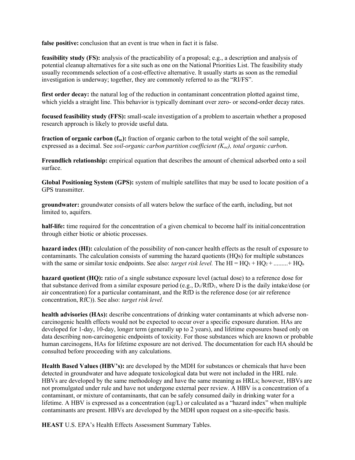**false positive:** conclusion that an event is true when in fact it is false.

**feasibility study (FS):** analysis of the practicability of a proposal; e.g., a description and analysis of potential cleanup alternatives for a site such as one on the National Priorities List. The feasibility study usually recommends selection of a cost-effective alternative. It usually starts as soon as the remedial investigation is underway; together, they are commonly referred to as the "RI/FS".

**first order decay:** the natural log of the reduction in contaminant concentration plotted against time, which yields a straight line. This behavior is typically dominant over zero- or second-order decay rates.

**focused feasibility study (FFS):** small-scale investigation of a problem to ascertain whether a proposed research approach is likely to provide useful data.

**fraction of organic carbon (foc):** fraction of organic carbon to the total weight of the soil sample, expressed as a decimal. See *soil-organic carbon partition coefficient (Koc), total organic carbo*n.

**Freundlich relationship:** empirical equation that describes the amount of chemical adsorbed onto a soil surface.

**Global Positioning System (GPS):** system of multiple satellites that may be used to locate position of a GPS transmitter.

**groundwater:** groundwater consists of all waters below the surface of the earth, including, but not limited to, aquifers.

**half-life:** time required for the concentration of a given chemical to become half its initial concentration through either biotic or abiotic processes.

**hazard index (HI):** calculation of the possibility of non-cancer health effects as the result of exposure to contaminants. The calculation consists of summing the hazard quotients (HQs) for multiple substances with the same or similar toxic endpoints. See also: *target risk level*. The  $HI = HQ_1 + HQ_2 + ... + HO_n$ 

**hazard quotient (HQ):** ratio of a single substance exposure level (actual dose) to a reference dose for that substance derived from a similar exposure period (e.g.,  $D_1/RTD_1$ , where D is the daily intake/dose (or air concentration) for a particular contaminant, and the RfD is the reference dose (or air reference concentration, RfC)). See also: *target risk level.*

**health advisories (HAs):** describe concentrations of drinking water contaminants at which adverse noncarcinogenic health effects would not be expected to occur over a specific exposure duration. HAs are developed for 1-day, 10-day, longer term (generally up to 2 years), and lifetime exposures based only on data describing non-carcinogenic endpoints of toxicity. For those substances which are known or probable human carcinogens, HAs for lifetime exposure are not derived. The documentation for each HA should be consulted before proceeding with any calculations.

**Health Based Values (HBV's):** are developed by the MDH for substances or chemicals that have been detected in groundwater and have adequate toxicological data but were not included in the HRL rule. HBVs are developed by the same methodology and have the same meaning as HRLs; however, HBVs are not promulgated under rule and have not undergone external peer review. A HBV is a concentration of a contaminant, or mixture of contaminants, that can be safely consumed daily in drinking water for a lifetime. A HBV is expressed as a concentration (ug/L) or calculated as a "hazard index" when multiple contaminants are present. HBVs are developed by the MDH upon request on a site-specific basis.

**HEAST** U.S. EPA's Health Effects Assessment Summary Tables.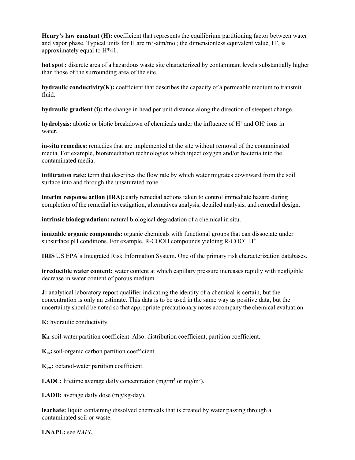**Henry's law constant (H):** coefficient that represents the equilibrium partitioning factor between water and vapor phase. Typical units for H are  $m<sup>3</sup>$ -atm/mol; the dimensionless equivalent value, H', is approximately equal to H\*41.

**hot spot :** discrete area of a hazardous waste site characterized by contaminant levels substantially higher than those of the surrounding area of the site.

**hydraulic conductivity(K):** coefficient that describes the capacity of a permeable medium to transmit fluid.

**hydraulic gradient (i):** the change in head per unit distance along the direction of steepest change.

**hydrolysis:** abiotic or biotic breakdown of chemicals under the influence of H<sup>+</sup> and OH<sup>-</sup> ions in water.

**in-situ remedies:** remedies that are implemented at the site without removal of the contaminated media. For example, bioremediation technologies which inject oxygen and/or bacteria into the contaminated media.

**infiltration rate:** term that describes the flow rate by which water migrates downward from the soil surface into and through the unsaturated zone.

**interim response action (IRA):** early remedial actions taken to control immediate hazard during completion of the remedial investigation, alternatives analysis, detailed analysis, and remedial design.

**intrinsic biodegradation:** natural biological degradation of a chemical in situ.

**ionizable organic compounds:** organic chemicals with functional groups that can dissociate under subsurface pH conditions. For example, R-COOH compounds yielding R-COO+H<sup>+</sup>

**IRIS** US EPA's Integrated Risk Information System. One of the primary risk characterization databases.

**irreducible water content:** water content at which capillary pressure increases rapidly with negligible decrease in water content of porous medium.

**J:** analytical laboratory report qualifier indicating the identity of a chemical is certain, but the concentration is only an estimate. This data is to be used in the same way as positive data, but the uncertainty should be noted so that appropriate precautionary notes accompany the chemical evaluation.

**K:** hydraulic conductivity*.*

**Kd**: soil-water partition coefficient. Also: distribution coefficient, partition coefficient.

**Koc:**soil-organic carbon partition coefficient.

**Kow:** octanol-water partition coefficient.

**LADC:** lifetime average daily concentration (mg/m<sup>3</sup> or mg/m<sup>3</sup>).

**LADD:** average daily dose (mg/kg-day).

**leachate:** liquid containing dissolved chemicals that is created by water passing through a contaminated soil or waste.

**LNAPL:** see *NAPL.*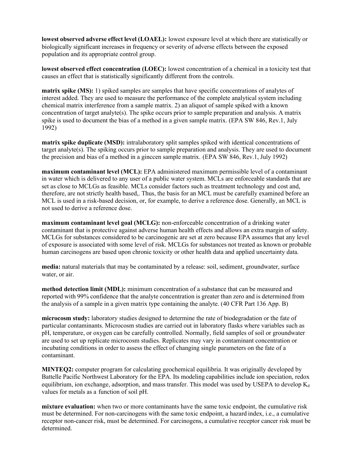**lowest observed adverse effect level (LOAEL):** lowest exposure level at which there are statistically or biologically significant increases in frequency or severity of adverse effects between the exposed population and its appropriate control group.

**lowest observed effect concentration (LOEC):** lowest concentration of a chemical in a toxicity test that causes an effect that is statistically significantly different from the controls.

**matrix spike (MS):** 1) spiked samples are samples that have specific concentrations of analytes of interest added. They are used to measure the performance of the complete analytical system including chemical matrix interference from a sample matrix. 2) an aliquot of sample spiked with a known concentration of target analyte(s). The spike occurs prior to sample preparation and analysis. A matrix spike is used to document the bias of a method in a given sample matrix. (EPA SW 846, Rev.1, July 1992)

**matrix spike duplicate (MSD):** intralaboratory split samples spiked with identical concentrations of target analyte(s). The spiking occurs prior to sample preparation and analysis. They are used to document the precision and bias of a method in a ginccen sample matrix. (EPA SW 846, Rev.1, July 1992)

**maximum contaminant level (MCL):** EPA administered maximum permissible level of a contaminant in water which is delivered to any user of a public water system. MCLs are enforceable standards that are set as close to MCLGs as feasible. MCLs consider factors such as treatment technology and cost and, therefore, are not strictly health based,. Thus, the basis for an MCL must be carefully examined before an MCL is used in a risk-based decision, or, for example, to derive a reference dose. Generally, an MCL is not used to derive a reference dose.

**maximum contaminant level goal (MCLG):** non-enforceable concentration of a drinking water contaminant that is protective against adverse human health effects and allows an extra margin of safety. MCLGs for substances considered to be carcinogenic are set at zero because EPA assumes that any level of exposure is associated with some level of risk. MCLGs for substances not treated as known or probable human carcinogens are based upon chronic toxicity or other health data and applied uncertainty data.

**media:** natural materials that may be contaminated by a release: soil, sediment, groundwater, surface water, or air.

**method detection limit (MDL):** minimum concentration of a substance that can be measured and reported with 99% confidence that the analyte concentration is greater than zero and is determined from the analysis of a sample in a given matrix type containing the analyte. (40 CFR Part 136 App. B)

**microcosm study:** laboratory studies designed to determine the rate of biodegradation or the fate of particular contaminants. Microcosm studies are carried out in laboratory flasks where variables such as pH, temperature, or oxygen can be carefully controlled. Normally, field samples of soil or groundwater are used to set up replicate microcosm studies. Replicates may vary in contaminant concentration or incubating conditions in order to assess the effect of changing single parameters on the fate of a contaminant.

**MINTEQ2:** computer program for calculating geochemical equilibria. It was originally developed by Battelle Pacific Northwest Laboratory for the EPA. Its modeling capabilities include ion speciation, redox equilibrium, ion exchange, adsorption, and mass transfer. This model was used by USEPA to develop  $K_d$ values for metals as a function of soil pH.

**mixture evaluation:** when two or more contaminants have the same toxic endpoint, the cumulative risk must be determined. For non-carcinogens with the same toxic endpoint, a hazard index, i.e., a cumulative receptor non-cancer risk, must be determined. For carcinogens, a cumulative receptor cancer risk must be determined.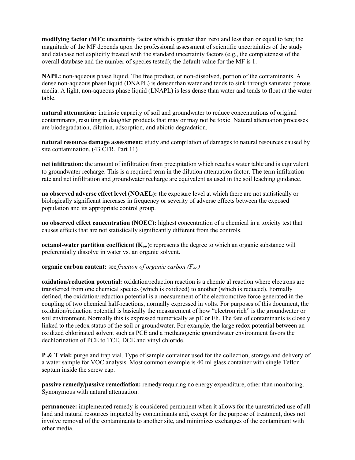**modifying factor (MF):** uncertainty factor which is greater than zero and less than or equal to ten; the magnitude of the MF depends upon the professional assessment of scientific uncertainties of the study and database not explicitly treated with the standard uncertainty factors (e.g., the completeness of the overall database and the number of species tested); the default value for the MF is 1.

**NAPL:** non-aqueous phase liquid. The free product, or non-dissolved, portion of the contaminants. A dense non-aqueous phase liquid (DNAPL) is denser than water and tends to sink through saturated porous media. A light, non-aqueous phase liquid (LNAPL) is less dense than water and tends to float at the water table.

**natural attenuation:** intrinsic capacity of soil and groundwater to reduce concentrations of original contaminants, resulting in daughter products that may or may not be toxic. Natural attenuation processes are biodegradation, dilution, adsorption, and abiotic degradation.

**natural resource damage assessment:** study and compilation of damages to natural resources caused by site contamination. (43 CFR, Part 11)

**net infiltration:** the amount of infiltration from precipitation which reaches water table and is equivalent to groundwater recharge. This is a required term in the dilution attenuation factor. The term infiltration rate and net infiltration and groundwater recharge are equivalent as used in the soil leaching guidance.

**no observed adverse effect level (NOAEL):** the exposure level at which there are not statistically or biologically significant increases in frequency or severity of adverse effects between the exposed population and its appropriate control group.

**no observed effect concentration (NOEC):** highest concentration of a chemical in a toxicity test that causes effects that are not statistically significantly different from the controls.

**octanol-water partition coefficient**  $(K_{ow})$ **: represents the degree to which an organic substance will** preferentially dissolve in water vs. an organic solvent.

**organic carbon content:** see *fraction of organic carbon (Foc )*

**oxidation/reduction potential:** oxidation/reduction reaction is a chemic al reaction where electrons are transferred from one chemical species (which is oxidized) to another (which is reduced). Formally defined, the oxidation/reduction potential is a measurement of the electromotive force generated in the coupling of two chemical half-reactions, normally expressed in volts. For purposes of this document, the oxidation/reduction potential is basically the measurement of how "electron rich" is the groundwater or soil environment. Normally this is expressed numerically as pE or Eh. The fate of contaminants is closely linked to the redox status of the soil or groundwater. For example, the large redox potential between an oxidized chlorinated solvent such as PCE and a methanogenic groundwater environment favors the dechlorination of PCE to TCE, DCE and vinyl chloride.

**P & T vial:** purge and trap vial. Type of sample container used for the collection, storage and delivery of a water sample for VOC analysis. Most common example is 40 ml glass container with single Teflon septum inside the screw cap.

**passive remedy/passive remediation:** remedy requiring no energy expenditure, other than monitoring. Synonymous with natural attenuation.

**permanence:** implemented remedy is considered permanent when it allows for the unrestricted use of all land and natural resources impacted by contaminants and, except for the purpose of treatment, does not involve removal of the contaminants to another site, and minimizes exchanges of the contaminant with other media.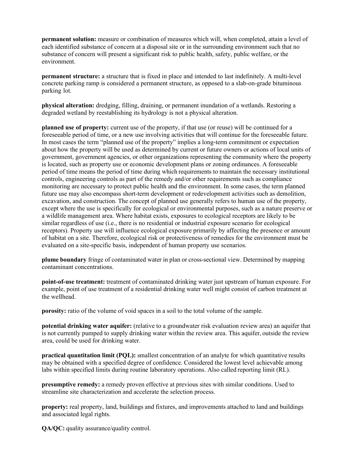**permanent solution:** measure or combination of measures which will, when completed, attain a level of each identified substance of concern at a disposal site or in the surrounding environment such that no substance of concern will present a significant risk to public health, safety, public welfare, or the environment.

**permanent structure:** a structure that is fixed in place and intended to last indefinitely. A multi-level concrete parking ramp is considered a permanent structure, as opposed to a slab-on-grade bituminous parking lot.

**physical alteration:** dredging, filling, draining, or permanent inundation of a wetlands. Restoring a degraded wetland by reestablishing its hydrology is not a physical alteration.

**planned use of property:** current use of the property, if that use (or reuse) will be continued for a foreseeable period of time, or a new use involving activities that will continue for the foreseeable future. In most cases the term "planned use of the property" implies a long-term commitment or expectation about how the property will be used as determined by current or future owners or actions of local units of government, government agencies, or other organizations representing the community where the property is located, such as property use or economic development plans or zoning ordinances. A foreseeable period of time means the period of time during which requirements to maintain the necessary institutional controls, engineering controls as part of the remedy and/or other requirements such as compliance monitoring are necessary to protect public health and the environment. In some cases, the term planned future use may also encompass short-term development or redevelopment activities such as demolition, excavation, and construction. The concept of planned use generally refers to human use of the property, except where the use is specifically for ecological or environmental purposes, such as a nature preserve or a wildlife management area. Where habitat exists, exposures to ecological receptors are likely to be similar regardless of use (i.e., there is no residential or industrial exposure scenario for ecological receptors). Property use will influence ecological exposure primarily by affecting the presence or amount of habitat on a site. Therefore, ecological risk or protectiveness of remedies for the environment must be evaluated on a site-specific basis, independent of human property use scenarios.

**plume boundary** fringe of contaminated water in plan or cross-sectional view. Determined by mapping contaminant concentrations.

**point-of-use treatment:** treatment of contaminated drinking water just upstream of human exposure. For example, point of use treatment of a residential drinking water well might consist of carbon treatment at the wellhead.

**porosity:** ratio of the volume of void spaces in a soil to the total volume of the sample.

**potential drinking water aquifer:** (relative to a groundwater risk evaluation review area) an aquifer that is not currently pumped to supply drinking water within the review area. This aquifer, outside the review area, could be used for drinking water.

**practical quantitation limit (POL):** smallest concentration of an analyte for which quantitative results may be obtained with a specified degree of confidence. Considered the lowest level achievable among labs within specified limits during routine laboratory operations. Also called reporting limit (RL).

**presumptive remedy:** a remedy proven effective at previous sites with similar conditions. Used to streamline site characterization and accelerate the selection process.

**property:** real property, land, buildings and fixtures, and improvements attached to land and buildings and associated legal rights.

**QA/QC:** quality assurance/quality control.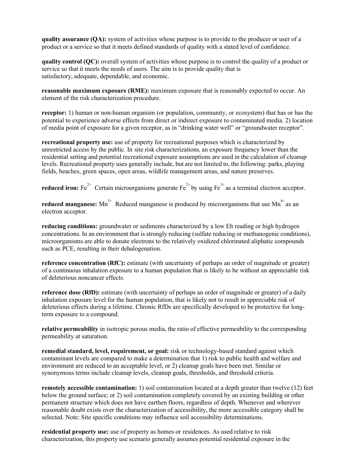**quality assurance (QA):** system of activities whose purpose is to provide to the producer or user of a product or a service so that it meets defined standards of quality with a stated level of confidence.

**quality control (QC):** overall system of activities whose purpose is to control the quality of a product or service so that it meets the needs of users. The aim is to provide quality that is satisfactory, adequate, dependable, and economic.

**reasonable maximum exposure (RME):** maximum exposure that is reasonably expected to occur. An element of the risk characterization procedure.

**receptor:** 1) human or non-human organism (or population, community, or ecosystem) that has or has the potential to experience adverse effects from direct or indirect exposure to contaminated media. 2) location of media point of exposure for a given receptor, as in "drinking water well" or "groundwater receptor".

**recreational property use:** use of property for recreational purposes which is characterized by unrestricted access by the public. In site risk characterizations*,* an exposure frequency lower than the residential setting and potential recreational exposure assumptions are used in the calculation of cleanup levels. Recreational property uses generally include, but are not limited to, the following: parks, playing fields, beaches, green spaces, open areas, wildlife management areas, and nature preserves.

**reduced iron:** Fe<sup>2+</sup> Certain microorganisms generate Fe<sup>2+</sup> by using Fe<sup>3+</sup> as a terminal electron acceptor.

reduced manganese: Mn<sup>2+</sup>. Reduced manganese is produced by microorganisms that use Mn<sup>4+</sup> as an electron acceptor.

**reducing conditions:** groundwater or sediments characterized by a low Eh reading or high hydrogen concentrations. In an environment that is strongly reducing (sulfate reducing or methanogenic conditions), microorganisms are able to donate electrons to the relatively oxidized chlorinated aliphatic compounds such as PCE, resulting in their dehalogenation.

**reference concentration (RfC):** estimate (with uncertainty of perhaps an order of magnitude or greater) of a continuous inhalation exposure to a human population that is likely to be without an appreciable risk of deleterious noncancer effects.

**reference dose (RfD):** estimate (with uncertainty of perhaps an order of magnitude or greater) of a daily inhalation exposure level for the human population, that is likely not to result in appreciable risk of deleterious effects during a lifetime. Chronic RfDs are specifically developed to be protective for longterm exposure to a compound.

**relative permeability** in isotropic porous media, the ratio of effective permeability to the corresponding permeability at saturation.

**remedial standard, level, requirement, or goal:** risk or technology-based standard against which contaminant levels are compared to make a determination that 1) risk to public health and welfare and environment are reduced to an acceptable level, or 2) cleanup goals have been met. Similar or synonymous terms include cleanup levels, cleanup goals, thresholds, and threshold criteria.

**remotely accessible contamination:** 1) soil contamination located at a depth greater than twelve (12) feet below the ground surface; or 2) soil contamination completely covered by an existing building or other permanent structure which does not have earthen floors, regardless of depth. Whenever and wherever reasonable doubt exists over the characterization of accessibility, the more accessible category shall be selected. Note: Site specific conditions may influence soil accessibility determinations.

**residential property use:** use of property as homes or residences. As used relative to risk characterization, this property use scenario generally assumes potential residential exposure in the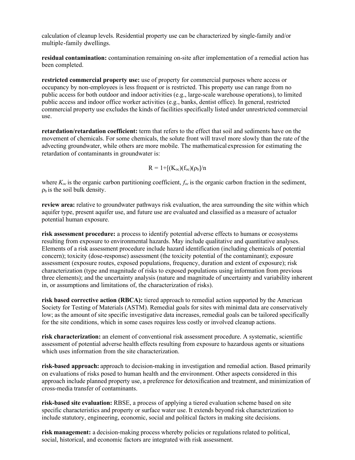calculation of cleanup levels. Residential property use can be characterized by single-family and/or multiple-family dwellings.

**residual contamination:** contamination remaining on-site after implementation of a remedial action has been completed.

**restricted commercial property use:** use of property for commercial purposes where access or occupancy by non-employees is less frequent or is restricted. This property use can range from no public access for both outdoor and indoor activities (e.g., large-scale warehouse operations), to limited public access and indoor office worker activities (e.g., banks, dentist office). In general, restricted commercial property use excludes the kinds of facilities specifically listed under unrestricted commercial use.

**retardation/retardation coefficient:** term that refers to the effect that soil and sediments have on the movement of chemicals. For some chemicals, the solute front will travel more slowly than the rate of the advecting groundwater, while others are more mobile. The mathematical expression for estimating the retardation of contaminants in groundwater is:

$$
R = 1 + [(K_{oc})(f_{oc})(\rho_b)/n
$$

where  $K_{oc}$  is the organic carbon partitioning coefficient,  $f_{oc}$  is the organic carbon fraction in the sediment,  $\rho_b$  is the soil bulk density.

**review area:** relative to groundwater pathways risk evaluation, the area surrounding the site within which aquifer type, present aquifer use, and future use are evaluated and classified as a measure of actualor potential human exposure.

**risk assessment procedure:** a process to identify potential adverse effects to humans or ecosystems resulting from exposure to environmental hazards. May include qualitative and quantitative analyses. Elements of a risk assessment procedure include hazard identification (including chemicals of potential concern); toxicity (dose-response) assessment (the toxicity potential of the contaminant); exposure assessment (exposure routes, exposed populations, frequency, duration and extent of exposure); risk characterization (type and magnitude of risks to exposed populations using information from previous three elements); and the uncertainty analysis (nature and magnitude of uncertainty and variability inherent in, or assumptions and limitations of, the characterization of risks).

**risk based corrective action (RBCA):** tiered approach to remedial action supported by the American Society for Testing of Materials (ASTM). Remedial goals for sites with minimal data are conservatively low; as the amount of site specific investigative data increases, remedial goals can be tailored specifically for the site conditions, which in some cases requires less costly or involved cleanup actions.

**risk characterization:** an element of conventional risk assessment procedure. A systematic, scientific assessment of potential adverse health effects resulting from exposure to hazardous agents or situations which uses information from the site characterization.

**risk-based approach:** approach to decision-making in investigation and remedial action. Based primarily on evaluations of risks posed to human health and the environment. Other aspects considered in this approach include planned property use, a preference for detoxification and treatment, and minimization of cross-media transfer of contaminants.

**risk-based site evaluation:** RBSE, a process of applying a tiered evaluation scheme based on site specific characteristics and property or surface water use. It extends beyond risk characterization to include statutory, engineering, economic, social and political factors in making site decisions.

**risk management:** a decision-making process whereby policies or regulations related to political, social, historical, and economic factors are integrated with risk assessment.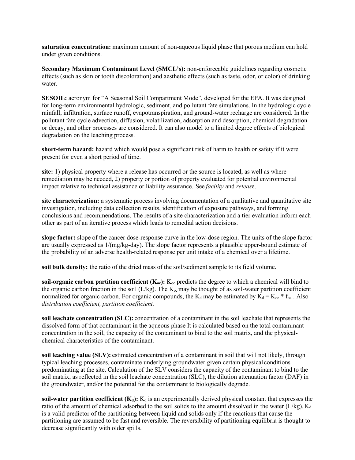**saturation concentration:** maximum amount of non-aqueous liquid phase that porous medium can hold under given conditions.

**Secondary Maximum Contaminant Level (SMCL's):** non-enforceable guidelines regarding cosmetic effects (such as skin or tooth discoloration) and aesthetic effects (such as taste, odor, or color) of drinking water.

**SESOIL:** acronym for "A Seasonal Soil Compartment Mode", developed for the EPA. It was designed for long-term environmental hydrologic, sediment, and pollutant fate simulations. In the hydrologic cycle rainfall, infiltration, surface runoff, evapotranspiration, and ground-water recharge are considered. In the pollutant fate cycle advection, diffusion, volatilization, adsorption and desorption, chemical degradation or decay, and other processes are considered. It can also model to a limited degree effects of biological degradation on the leaching process.

**short-term hazard:** hazard which would pose a significant risk of harm to health or safety if it were present for even a short period of time.

**site:** 1) physical property where a release has occurred or the source is located, as well as where remediation may be needed, 2) property or portion of property evaluated for potential environmental impact relative to technical assistance or liability assurance. See *facility* and *releas*e.

**site characterization:** a systematic process involving documentation of a qualitative and quantitative site investigation, including data collection results, identification of exposure pathways, and forming conclusions and recommendations. The results of a site characterization and a tier evaluation inform each other as part of an iterative process which leads to remedial action decisions.

**slope factor:** slope of the cancer dose-response curve in the low-dose region. The units of the slope factor are usually expressed as  $1/(mg/kg-day)$ . The slope factor represents a plausible upper-bound estimate of the probability of an adverse health-related response per unit intake of a chemical over a lifetime.

**soil bulk density:** the ratio of the dried mass of the soil/sediment sample to its field volume.

**soil-organic carbon partition coefficient**  $(K_{oc})$ **:**  $K_{oc}$  predicts the degree to which a chemical will bind to the organic carbon fraction in the soil ( $L/kg$ ). The  $K_{\infty}$  may be thought of as soil-water partition coefficient normalized for organic carbon. For organic compounds, the  $K_d$  may be estimated by  $K_d = K_{oc} * f_{oc}$ . Also *distribution coefficient, partition coefficient.*

**soil leachate concentration (SLC):** concentration of a contaminant in the soil leachate that represents the dissolved form of that contaminant in the aqueous phase It is calculated based on the total contaminant concentration in the soil, the capacity of the contaminant to bind to the soil matrix, and the physicalchemical characteristics of the contaminant.

**soil leaching value (SLV):** estimated concentration of a contaminant in soil that will not likely, through typical leaching processes, contaminate underlying groundwater given certain physical conditions predominating at the site. Calculation of the SLV considers the capacity of the contaminant to bind to the soil matrix, as reflected in the soil leachate concentration (SLC), the dilution attenuation factor (DAF) in the groundwater, and/or the potential for the contaminant to biologically degrade.

**soil-water partition coefficient**  $(K_d)$ **:**  $K_d$  is an experimentally derived physical constant that expresses the ratio of the amount of chemical adsorbed to the soil solids to the amount dissolved in the water  $(L/kg)$ . Kd is a valid predictor of the partitioning between liquid and solids only if the reactions that cause the partitioning are assumed to be fast and reversible. The reversibility of partitioning equilibria is thought to decrease significantly with older spills.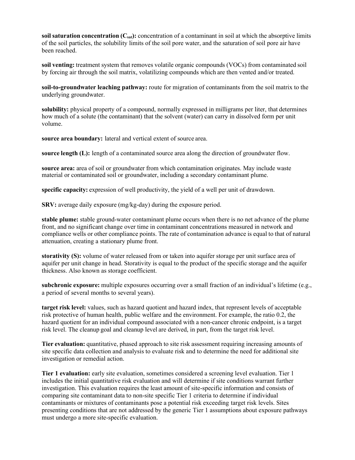**soil saturation concentration**  $(C_{sat})$ : concentration of a contaminant in soil at which the absorptive limits of the soil particles, the solubility limits of the soil pore water, and the saturation of soil pore air have been reached.

**soil venting:** treatment system that removes volatile organic compounds (VOCs) from contaminated soil by forcing air through the soil matrix, volatilizing compounds which are then vented and/or treated.

**soil-to-groundwater leaching pathway:** route for migration of contaminants from the soil matrix to the underlying groundwater.

**solubility:** physical property of a compound, normally expressed in milligrams per liter, that determines how much of a solute (the contaminant) that the solvent (water) can carry in dissolved form per unit volume.

**source area boundary:** lateral and vertical extent of source area.

**source length (L):** length of a contaminated source area along the direction of groundwater flow.

**source area:** area of soil or groundwater from which contamination originates. May include waste material or contaminated soil or groundwater, including a secondary contaminant plume.

**specific capacity:** expression of well productivity, the yield of a well per unit of drawdown.

**SRV:** average daily exposure (mg/kg-day) during the exposure period.

**stable plume:** stable ground-water contaminant plume occurs when there is no net advance of the plume front, and no significant change over time in contaminant concentrations measured in network and compliance wells or other compliance points. The rate of contamination advance is equal to that of natural attenuation, creating a stationary plume front.

**storativity (S):** volume of water released from or taken into aquifer storage per unit surface area of aquifer per unit change in head. Storativity is equal to the product of the specific storage and the aquifer thickness. Also known as storage coefficient.

**subchronic exposure:** multiple exposures occurring over a small fraction of an individual's lifetime (e.g., a period of several months to several years).

**target risk level:** values, such as hazard quotient and hazard index, that represent levels of acceptable risk protective of human health, public welfare and the environment. For example, the ratio 0.2, the hazard quotient for an individual compound associated with a non-cancer chronic endpoint, is a target risk level. The cleanup goal and cleanup level are derived, in part, from the target risk level.

**Tier evaluation:** quantitative, phased approach to site risk assessment requiring increasing amounts of site specific data collection and analysis to evaluate risk and to determine the need for additional site investigation or remedial action.

**Tier 1 evaluation:** early site evaluation, sometimes considered a screening level evaluation. Tier 1 includes the initial quantitative risk evaluation and will determine if site conditions warrant further investigation. This evaluation requires the least amount of site-specific information and consists of comparing site contaminant data to non-site specific Tier 1 criteria to determine if individual contaminants or mixtures of contaminants pose a potential risk exceeding target risk levels. Sites presenting conditions that are not addressed by the generic Tier 1 assumptions about exposure pathways must undergo a more site-specific evaluation.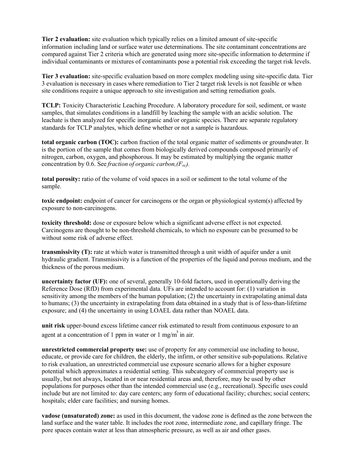**Tier 2 evaluation:** site evaluation which typically relies on a limited amount of site-specific information including land or surface water use determinations. The site contaminant concentrations are compared against Tier 2 criteria which are generated using more site-specific information to determine if individual contaminants or mixtures of contaminants pose a potential risk exceeding the target risk levels.

**Tier 3 evaluation:** site-specific evaluation based on more complex modeling using site-specific data. Tier 3 evaluation is necessary in cases where remediation to Tier 2 target risk levels is not feasible or when site conditions require a unique approach to site investigation and setting remediation goals.

**TCLP:** Toxicity Characteristic Leaching Procedure. A laboratory procedure for soil, sediment, or waste samples, that simulates conditions in a landfill by leaching the sample with an acidic solution. The leachate is then analyzed for specific inorganic and/or organic species. There are separate regulatory standards for TCLP analytes, which define whether or not a sample is hazardous.

**total organic carbon (TOC):** carbon fraction of the total organic matter of sediments or groundwater. It is the portion of the sample that comes from biologically derived compounds composed primarily of nitrogen, carbon, oxygen, and phosphorous. It may be estimated by multiplying the organic matter concentration by 0.6. See *fraction* of *organic carbon*,  $(F_{oc})$ .

**total porosity:** ratio of the volume of void spaces in a soil or sediment to the total volume of the sample.

**toxic endpoint:** endpoint of cancer for carcinogens or the organ or physiological system(s) affected by exposure to non-carcinogens.

**toxicity threshold:** dose or exposure below which a significant adverse effect is not expected. Carcinogens are thought to be non-threshold chemicals, to which no exposure can be presumed to be without some risk of adverse effect.

**transmissivity (T):** rate at which water is transmitted through a unit width of aquifer under a unit hydraulic gradient. Transmissivity is a function of the properties of the liquid and porous medium, and the thickness of the porous medium.

**uncertainty factor (UF):** one of several, generally 10-fold factors, used in operationally deriving the Reference Dose (RfD) from experimental data. UFs are intended to account for: (1) variation in sensitivity among the members of the human population; (2) the uncertainty in extrapolating animal data to humans; (3) the uncertainty in extrapolating from data obtained in a study that is of less-than-lifetime exposure; and (4) the uncertainty in using LOAEL data rather than NOAEL data.

**unit risk** upper-bound excess lifetime cancer risk estimated to result from continuous exposure to an agent at a concentration of 1 ppm in water or 1 mg/m<sup>3</sup> in air.

**unrestricted commercial property use:** use of property for any commercial use including to house, educate, or provide care for children, the elderly, the infirm, or other sensitive sub-populations. Relative to risk evaluation, an unrestricted commercial use exposure scenario allows for a higher exposure potential which approximates a residential setting. This subcategory of commercial property use is usually, but not always, located in or near residential areas and, therefore, may be used by other populations for purposes other than the intended commercial use (e.g., recreational). Specific uses could include but are not limited to: day care centers; any form of educational facility; churches; social centers; hospitals; elder care facilities; and nursing homes.

**vadose (unsaturated) zone:** as used in this document, the vadose zone is defined as the zone between the land surface and the water table. It includes the root zone, intermediate zone, and capillary fringe. The pore spaces contain water at less than atmospheric pressure, as well as air and other gases.